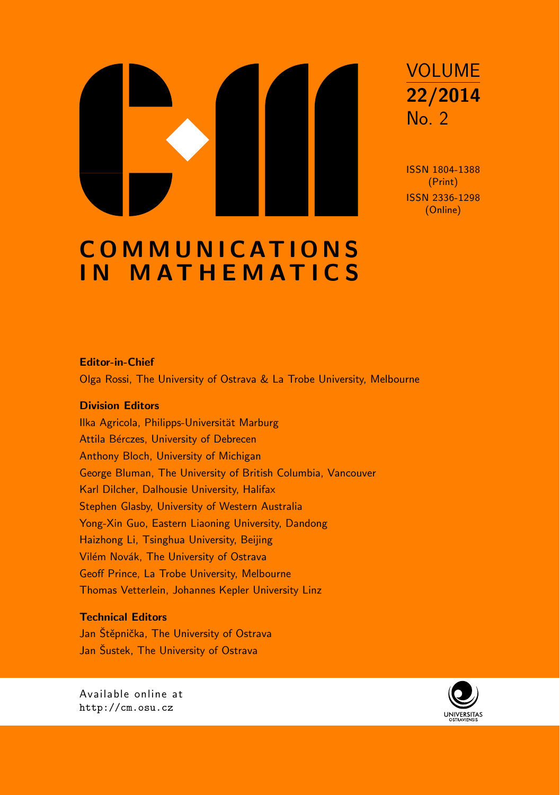

ISSN 1804-1388 (Print) ISSN 2336-1298 (Online)

# **COMMUNICATIONS** IN MATHEMATICS

#### Editor-in-Chief

Olga Rossi, The University of Ostrava & La Trobe University, Melbourne

#### Division Editors

Ilka Agricola, Philipps-Universität Marburg Attila Bérczes, University of Debrecen Anthony Bloch, University of Michigan George Bluman, The University of British Columbia, Vancouver Karl Dilcher, Dalhousie University, Halifax Stephen Glasby, University of Western Australia Yong-Xin Guo, Eastern Liaoning University, Dandong Haizhong Li, Tsinghua University, Beijing Vilém Novák, The University of Ostrava Geoff Prince, La Trobe University, Melbourne Thomas Vetterlein, Johannes Kepler University Linz

## Technical Editors

Jan Štěpnička, The University of Ostrava Jan Šustek, The University of Ostrava



Available online at http://cm.osu.cz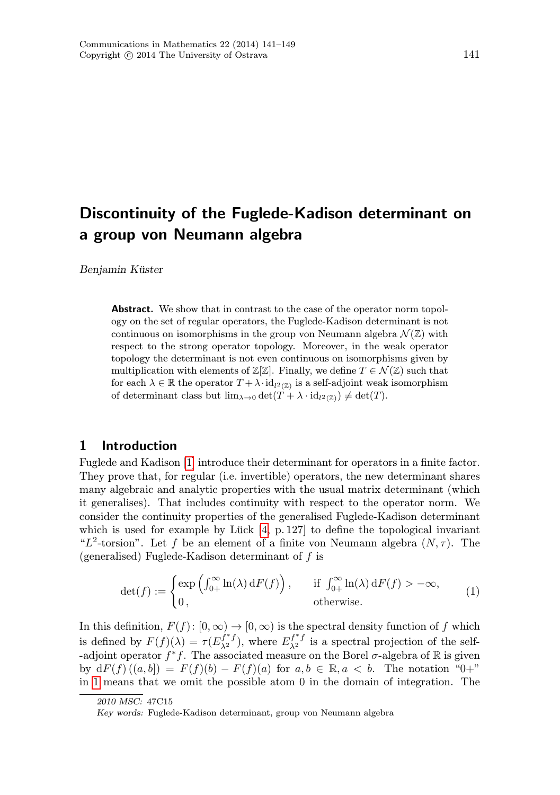# Discontinuity of the Fuglede-Kadison determinant on a group von Neumann algebra

Benjamin Küster

**Abstract.** We show that in contrast to the case of the operator norm topology on the set of regular operators, the Fuglede-Kadison determinant is not continuous on isomorphisms in the group von Neumann algebra  $\mathcal{N}(\mathbb{Z})$  with respect to the strong operator topology. Moreover, in the weak operator topology the determinant is not even continuous on isomorphisms given by multiplication with elements of  $\mathbb{Z}[\mathbb{Z}]$ . Finally, we define  $T \in \mathcal{N}(\mathbb{Z})$  such that for each  $\lambda \in \mathbb{R}$  the operator  $T + \lambda \cdot id_{l^2(\mathbb{Z})}$  is a self-adjoint weak isomorphism of determinant class but  $\lim_{\lambda \to 0} \det(T + \lambda \cdot \mathrm{id}_{l^2(\mathbb{Z})}) \neq \det(T)$ .

### 1 Introduction

Fuglede and Kadison [\[1\]](#page-9-0) introduce their determinant for operators in a finite factor. They prove that, for regular (i.e. invertible) operators, the new determinant shares many algebraic and analytic properties with the usual matrix determinant (which it generalises). That includes continuity with respect to the operator norm. We consider the continuity properties of the generalised Fuglede-Kadison determinant which is used for example by Lück [\[4,](#page-9-0) p. 127] to define the topological invariant "L<sup>2</sup>-torsion". Let f be an element of a finite von Neumann algebra  $(N, \tau)$ . The (generalised) Fuglede-Kadison determinant of f is

<span id="page-1-0"></span>
$$
\det(f) := \begin{cases} \exp\left(\int_{0+}^{\infty} \ln(\lambda) dF(f)\right), & \text{if } \int_{0+}^{\infty} \ln(\lambda) dF(f) > -\infty, \\ 0, & \text{otherwise.} \end{cases}
$$
 (1)

In this definition,  $F(f): [0, \infty) \to [0, \infty)$  is the spectral density function of f which is defined by  $F(f)(\lambda) = \tau(E_{\lambda^2}^{f^*f})$ , where  $E_{\lambda^2}^{f^*f}$  is a spectral projection of the self--adjoint operator  $f^*f$ . The associated measure on the Borel  $\sigma$ -algebra of R is given by  $dF(f)$   $((a, b]) = F(f)(b) - F(f)(a)$  for  $a, b \in \mathbb{R}, a < b$ . The notation "0+" in [1](#page-1-0) means that we omit the possible atom 0 in the domain of integration. The

<sup>2010</sup> MSC: 47C15

Key words: Fuglede-Kadison determinant, group von Neumann algebra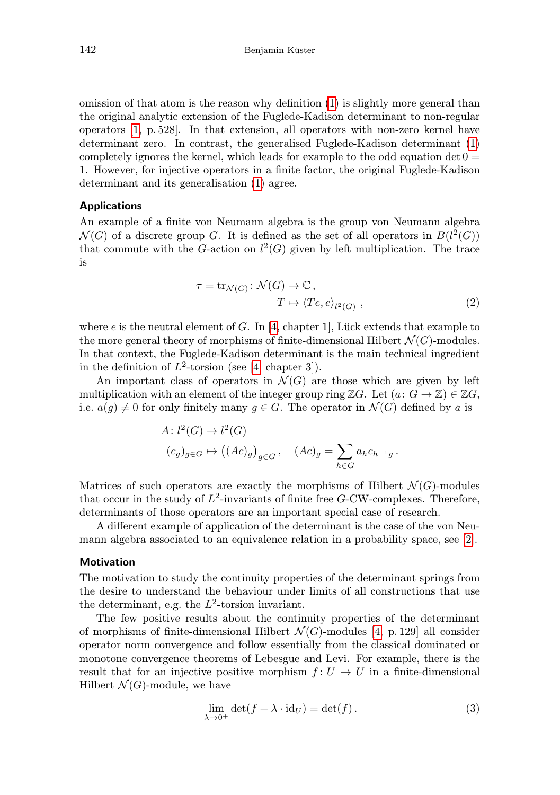omission of that atom is the reason why definition [\(1\)](#page-1-0) is slightly more general than the original analytic extension of the Fuglede-Kadison determinant to non-regular operators [\[1,](#page-9-0) p. 528]. In that extension, all operators with non-zero kernel have determinant zero. In contrast, the generalised Fuglede-Kadison determinant [\(1\)](#page-1-0) completely ignores the kernel, which leads for example to the odd equation  $\det 0 =$ 1. However, for injective operators in a finite factor, the original Fuglede-Kadison determinant and its generalisation [\(1\)](#page-1-0) agree.

#### Applications

An example of a finite von Neumann algebra is the group von Neumann algebra  $\mathcal{N}(G)$  of a discrete group G. It is defined as the set of all operators in  $B(l^2(G))$ that commute with the G-action on  $l^2(G)$  given by left multiplication. The trace is

<span id="page-2-1"></span>
$$
\tau = \operatorname{tr}_{\mathcal{N}(G)} : \mathcal{N}(G) \to \mathbb{C},
$$
  
\n
$$
T \mapsto \langle Te, e \rangle_{l^2(G)},
$$
\n(2)

where  $e$  is the neutral element of  $G$ . In [\[4,](#page-9-0) chapter 1], Lück extends that example to the more general theory of morphisms of finite-dimensional Hilbert  $\mathcal{N}(G)$ -modules. In that context, the Fuglede-Kadison determinant is the main technical ingredient in the definition of  $L^2$ -torsion (see [\[4,](#page-9-0) chapter 3]).

An important class of operators in  $\mathcal{N}(G)$  are those which are given by left multiplication with an element of the integer group ring  $\mathbb{Z}G$ . Let  $(a: G \to \mathbb{Z}) \in \mathbb{Z}G$ , i.e.  $a(g) \neq 0$  for only finitely many  $g \in G$ . The operator in  $\mathcal{N}(G)$  defined by a is

$$
A: l^{2}(G) \to l^{2}(G)
$$
  

$$
(c_g)_{g \in G} \mapsto ((Ac)_{g})_{g \in G}, \quad (Ac)_{g} = \sum_{h \in G} a_{h} c_{h^{-1}g}.
$$

Matrices of such operators are exactly the morphisms of Hilbert  $\mathcal{N}(G)$ -modules that occur in the study of  $L^2$ -invariants of finite free G-CW-complexes. Therefore, determinants of those operators are an important special case of research.

A different example of application of the determinant is the case of the von Neumann algebra associated to an equivalence relation in a probability space, see [\[2\]](#page-9-0).

#### **Motivation**

The motivation to study the continuity properties of the determinant springs from the desire to understand the behaviour under limits of all constructions that use the determinant, e.g. the  $L^2$ -torsion invariant.

The few positive results about the continuity properties of the determinant of morphisms of finite-dimensional Hilbert  $\mathcal{N}(G)$ -modules [\[4,](#page-9-0) p. 129] all consider operator norm convergence and follow essentially from the classical dominated or monotone convergence theorems of Lebesgue and Levi. For example, there is the result that for an injective positive morphism  $f: U \to U$  in a finite-dimensional Hilbert  $\mathcal{N}(G)$ -module, we have

<span id="page-2-0"></span>
$$
\lim_{\lambda \to 0^+} \det(f + \lambda \cdot \mathrm{id}_U) = \det(f). \tag{3}
$$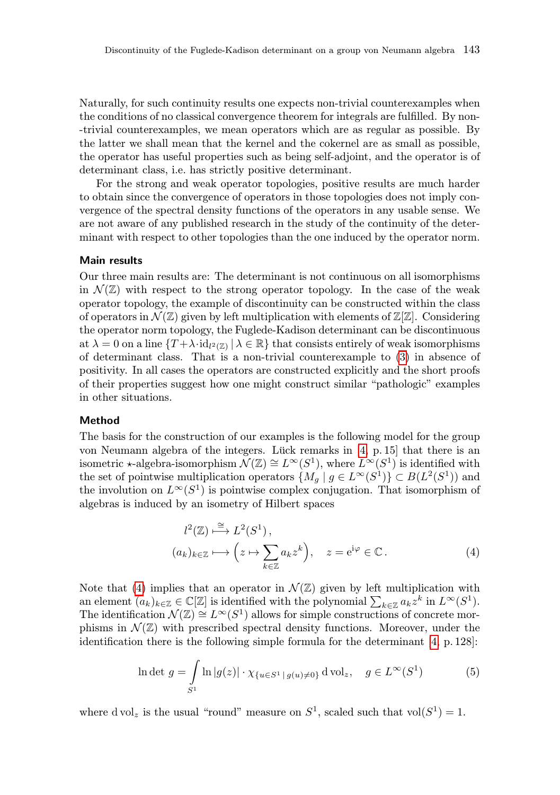Naturally, for such continuity results one expects non-trivial counterexamples when the conditions of no classical convergence theorem for integrals are fulfilled. By non- -trivial counterexamples, we mean operators which are as regular as possible. By the latter we shall mean that the kernel and the cokernel are as small as possible, the operator has useful properties such as being self-adjoint, and the operator is of determinant class, i.e. has strictly positive determinant.

For the strong and weak operator topologies, positive results are much harder to obtain since the convergence of operators in those topologies does not imply convergence of the spectral density functions of the operators in any usable sense. We are not aware of any published research in the study of the continuity of the determinant with respect to other topologies than the one induced by the operator norm.

#### Main results

Our three main results are: The determinant is not continuous on all isomorphisms in  $\mathcal{N}(\mathbb{Z})$  with respect to the strong operator topology. In the case of the weak operator topology, the example of discontinuity can be constructed within the class of operators in  $\mathcal{N}(\mathbb{Z})$  given by left multiplication with elements of  $\mathbb{Z}[\mathbb{Z}]$ . Considering the operator norm topology, the Fuglede-Kadison determinant can be discontinuous at  $\lambda = 0$  on a line  $\{T + \lambda \cdot \text{id}_{l^2(\mathbb{Z})} \mid \lambda \in \mathbb{R}\}\)$  that consists entirely of weak isomorphisms of determinant class. That is a non-trivial counterexample to ([3](#page-2-0)) in absence of positivity. In all cases the operators are constructed explicitly and the short proofs of their properties suggest how one might construct similar "pathologic" examples in other situations.

#### Method

The basis for the construction of our examples is the following model for the group von Neumann algebra of the integers. Lück remarks in [\[4,](#page-9-0) p. 15] that there is an isometric  $\star$ -algebra-isomorphism  $\mathcal{N}(\mathbb{Z}) \cong L^{\infty}(S^1)$ , where  $\mathcal{L}^{\infty}(S^1)$  is identified with the set of pointwise multiplication operators  $\{M_g \mid g \in L^{\infty}(S^1)\} \subset B(L^2(S^1))$  and the involution on  $L^{\infty}(S^1)$  is pointwise complex conjugation. That isomorphism of algebras is induced by an isometry of Hilbert spaces

<span id="page-3-0"></span>
$$
l^{2}(\mathbb{Z}) \stackrel{\cong}{\longrightarrow} L^{2}(S^{1}),
$$
  
\n
$$
(a_{k})_{k \in \mathbb{Z}} \longrightarrow (z \mapsto \sum_{k \in \mathbb{Z}} a_{k} z^{k}), \quad z = e^{i\varphi} \in \mathbb{C}.
$$
  
\n(4)

Note that [\(4\)](#page-3-0) implies that an operator in  $\mathcal{N}(\mathbb{Z})$  given by left multiplication with an element  $(a_k)_{k \in \mathbb{Z}} \in \mathbb{C}[\mathbb{Z}]$  is identified with the polynomial  $\sum_{k \in \mathbb{Z}} a_k z^k$  in  $L^{\infty}(S^1)$ . The identification  $\mathcal{N}(\mathbb{Z}) \cong L^{\infty}(S^1)$  allows for simple constructions of concrete morphisms in  $\mathcal{N}(\mathbb{Z})$  with prescribed spectral density functions. Moreover, under the identification there is the following simple formula for the determinant [\[4,](#page-9-0) p. 128]:

<span id="page-3-1"></span>
$$
\ln \det g = \int_{S^1} \ln |g(z)| \cdot \chi_{\{u \in S^1 \mid g(u) \neq 0\}} d\text{vol}_z, \quad g \in L^\infty(S^1)
$$
 (5)

where d vol<sub>z</sub> is the usual "round" measure on  $S^1$ , scaled such that vol $(S^1) = 1$ .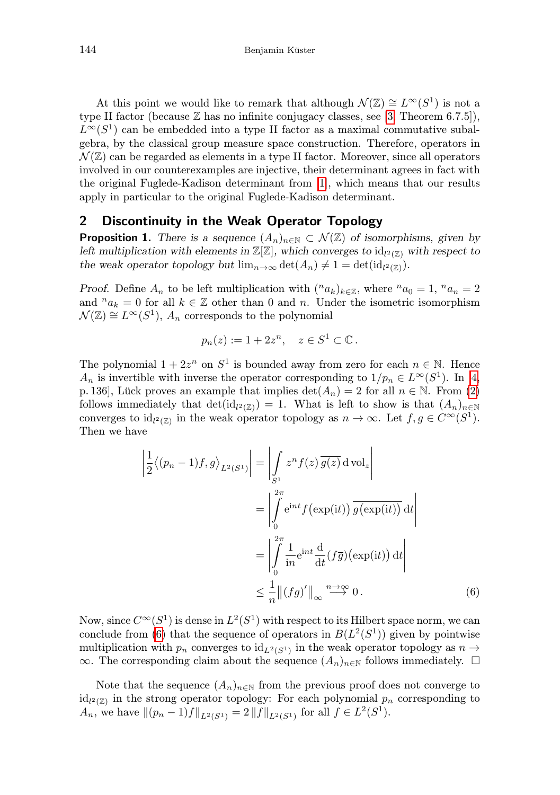At this point we would like to remark that although  $\mathcal{N}(\mathbb{Z}) \cong L^{\infty}(S^1)$  is not a type II factor (because  $\mathbb Z$  has no infinite conjugacy classes, see [\[3,](#page-9-0) Theorem 6.7.5]),  $L^{\infty}(S^1)$  can be embedded into a type II factor as a maximal commutative subalgebra, by the classical group measure space construction. Therefore, operators in  $\mathcal{N}(\mathbb{Z})$  can be regarded as elements in a type II factor. Moreover, since all operators involved in our counterexamples are injective, their determinant agrees in fact with the original Fuglede-Kadison determinant from [\[1\]](#page-9-0), which means that our results apply in particular to the original Fuglede-Kadison determinant.

#### 2 Discontinuity in the Weak Operator Topology

**Proposition 1.** There is a sequence  $(A_n)_{n\in\mathbb{N}}\subset\mathcal{N}(\mathbb{Z})$  of isomorphisms, given by left multiplication with elements in  $\mathbb{Z}[\mathbb{Z}]$ , which converges to  $\mathrm{id}_{l^2(\mathbb{Z})}$  with respect to the weak operator topology but  $\lim_{n\to\infty} \det(A_n) \neq 1 = \det(\mathrm{id}_{l^2(\mathbb{Z})}).$ 

*Proof.* Define  $A_n$  to be left multiplication with  $({}^na_k)_{k\in\mathbb{Z}}$ , where  ${}^na_0=1, {}^na_n=2$ and  $n_{a_k} = 0$  for all  $k \in \mathbb{Z}$  other than 0 and n. Under the isometric isomorphism  $\mathcal{N}(\mathbb{Z}) \cong L^{\infty}(S^1), A_n$  corresponds to the polynomial

$$
p_n(z) := 1 + 2z^n, \quad z \in S^1 \subset \mathbb{C} \, .
$$

The polynomial  $1 + 2z^n$  on  $S^1$  is bounded away from zero for each  $n \in \mathbb{N}$ . Hence  $A_n$  is invertible with inverse the operator corresponding to  $1/p_n \in L^{\infty}(S^1)$ . In [\[4,](#page-9-0) p. 136], Lück proves an example that implies  $\det(A_n) = 2$  for all  $n \in \mathbb{N}$ . From [\(2\)](#page-2-1) follows immediately that  $\det(\mathrm{id}_{l^2(\mathbb{Z})}) = 1$ . What is left to show is that  $(A_n)_{n \in \mathbb{N}}$ converges to  $\mathrm{id}_{l^2(\mathbb{Z})}$  in the weak operator topology as  $n \to \infty$ . Let  $f, g \in C^{\infty}(S^1)$ . Then we have

<span id="page-4-0"></span>
$$
\left| \frac{1}{2} \langle (p_n - 1) f, g \rangle_{L^2(S^1)} \right| = \left| \int_{S^1} z^n f(z) \overline{g(z)} \, dvol_z \right|
$$

$$
= \left| \int_0^{2\pi} e^{int} f(\exp(it)) \overline{g(\exp(it))} \, dt \right|
$$

$$
= \left| \int_0^{2\pi} \frac{1}{in} e^{int} \frac{d}{dt} (f\overline{g}) (\exp(it)) \, dt \right|
$$

$$
\leq \frac{1}{n} \left| | (fg)' | \right|_{\infty} \stackrel{n \to \infty}{\longrightarrow} 0 . \tag{6}
$$

Now, since  $C^{\infty}(S^1)$  is dense in  $L^2(S^1)$  with respect to its Hilbert space norm, we can conclude from [\(6\)](#page-4-0) that the sequence of operators in  $B(L^2(S^1))$  given by pointwise multiplication with  $p_n$  converges to  $\mathrm{id}_{L^2(S^1)}$  in the weak operator topology as  $n \to$ ∞. The corresponding claim about the sequence  $(A_n)_{n\in\mathbb{N}}$  follows immediately.  $\Box$ 

Note that the sequence  $(A_n)_{n\in\mathbb{N}}$  from the previous proof does not converge to  $\mathrm{id}_{l^2(\mathbb{Z})}$  in the strong operator topology: For each polynomial  $p_n$  corresponding to  $A_n$ , we have  $\|(p_n - 1)f\|_{L^2(S^1)} = 2 \|f\|_{L^2(S^1)}$  for all  $f \in L^2(S^1)$ .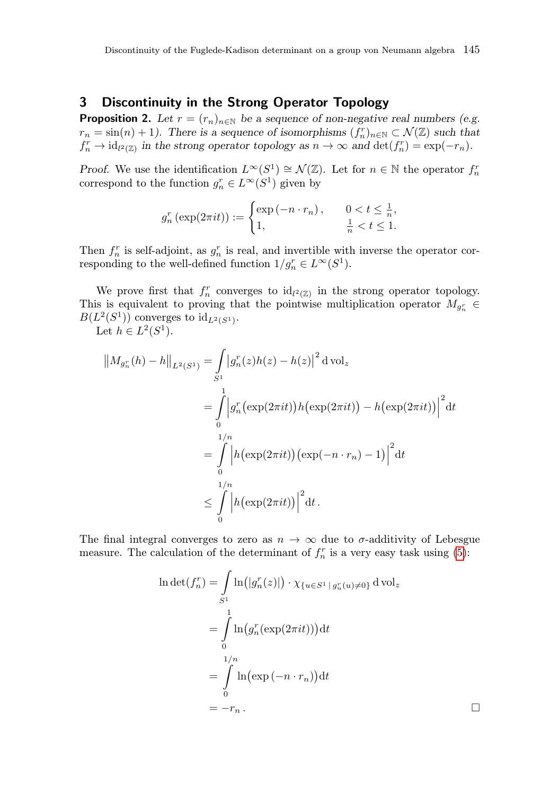#### 3 Discontinuity in the Strong Operator Topology

**Proposition 2.** Let  $r = (r_n)_{n \in \mathbb{N}}$  be a sequence of non-negative real numbers (e.g.  $r_n = \sin(n) + 1$ . There is a sequence of isomorphisms  $(f_n^r)_{n \in \mathbb{N}} \subset \mathcal{N}(\mathbb{Z})$  such that  $f_n^r \to \mathrm{id}_{l^2(\mathbb{Z})}$  in the strong operator topology as  $n \to \infty$  and  $\det(f_n^r) = \exp(-r_n)$ .

*Proof.* We use the identification  $L^{\infty}(S^1) \cong \mathcal{N}(\mathbb{Z})$ . Let for  $n \in \mathbb{N}$  the operator  $f_n^r$ correspond to the function  $g_n^r \in L^\infty(S^1)$  given by

$$
g_n^r\left(\exp(2\pi i t)\right) := \begin{cases} \exp(-n \cdot r_n), & 0 < t \le \frac{1}{n}, \\ 1, & \frac{1}{n} < t \le 1. \end{cases}
$$

Then  $f_n^r$  is self-adjoint, as  $g_n^r$  is real, and invertible with inverse the operator corresponding to the well-defined function  $1/g_n^r \in L^\infty(S^1)$ .

We prove first that  $f_n^r$  converges to  $\mathrm{id}_{l^2(\mathbb{Z})}$  in the strong operator topology. This is equivalent to proving that the pointwise multiplication operator  $M_{g_n^r} \in$  $B(L^2(S^1))$  converges to  $id_{L^2(S^1)}$ .

Let  $h \in L^2(S^1)$ .

$$
\|M_{g_n^r}(h) - h\|_{L^2(S^1)} = \int_{S^1} |g_n^r(z)h(z) - h(z)|^2 d\text{ vol}_z
$$
  
= 
$$
\int_{0}^{1} |g_n^r(\exp(2\pi i t))h(\exp(2\pi i t)) - h(\exp(2\pi i t))|^2 dt
$$
  
= 
$$
\int_{0}^{1/n} |h(\exp(2\pi i t))(\exp(-n \cdot r_n) - 1)|^2 dt
$$
  

$$
\leq \int_{0}^{1/n} |h(\exp(2\pi i t))|^2 dt.
$$

The final integral converges to zero as  $n \to \infty$  due to  $\sigma$ -additivity of Lebesgue measure. The calculation of the determinant of  $f_n^r$  is a very easy task using [\(5\)](#page-3-1):

$$
\ln \det(f_n^r) = \int_{S^1} \ln(|g_n^r(z)|) \cdot \chi_{\{u \in S^1 \mid g_n^r(u) \neq 0\}} d \operatorname{vol}_z
$$
  
= 
$$
\int_0^1 \ln(g_n^r(\exp(2\pi i t))) dt
$$
  
= 
$$
\int_0^{1/n} \ln(\exp(-n \cdot r_n)) dt
$$
  
= 
$$
-r_n.
$$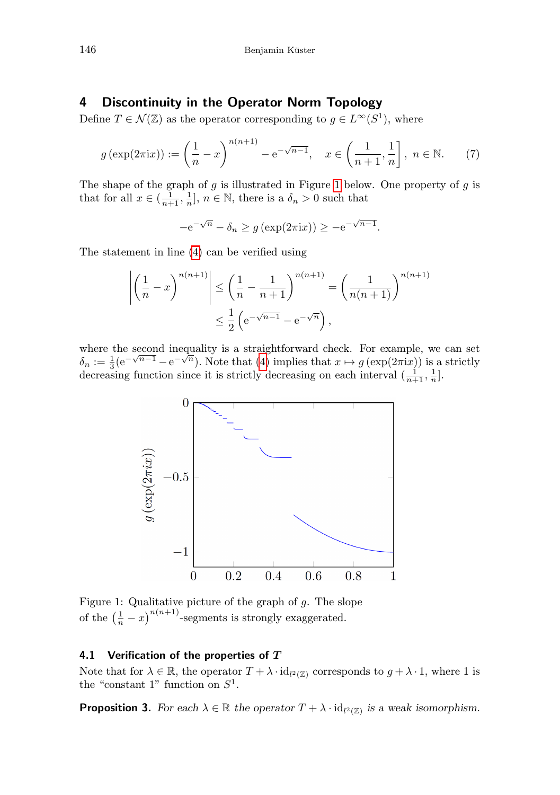#### 4 Discontinuity in the Operator Norm Topology

Define  $T \in \mathcal{N}(\mathbb{Z})$  as the operator corresponding to  $g \in L^{\infty}(S^1)$ , where

<span id="page-6-1"></span>
$$
g\left(\exp(2\pi ix)\right) := \left(\frac{1}{n} - x\right)^{n(n+1)} - e^{-\sqrt{n-1}}, \quad x \in \left(\frac{1}{n+1}, \frac{1}{n}\right], \ n \in \mathbb{N}.
$$
 (7)

The shape of the graph of  $g$  is illustrated in Figure [1](#page-6-0) below. One property of  $g$  is that for all  $x \in (\frac{1}{n+1}, \frac{1}{n}], n \in \mathbb{N}$ , there is a  $\delta_n > 0$  such that

$$
-e^{-\sqrt{n}} - \delta_n \ge g\left(\exp(2\pi ix)\right) \ge -e^{-\sqrt{n-1}}.
$$

The statement in line [\(4\)](#page-6-1) can be verified using

$$
\left| \left( \frac{1}{n} - x \right)^{n(n+1)} \right| \le \left( \frac{1}{n} - \frac{1}{n+1} \right)^{n(n+1)} = \left( \frac{1}{n(n+1)} \right)^{n(n+1)}
$$
  

$$
\le \frac{1}{2} \left( e^{-\sqrt{n-1}} - e^{-\sqrt{n}} \right),
$$

where the second inequality is a straightforward check. For example, we can set where the second mequality is a straightforward check. For example, we can set  $\delta_n := \frac{1}{3} (e^{-\sqrt{n-1}} - e^{-\sqrt{n}})$ . Note that [\(4\)](#page-6-1) implies that  $x \mapsto g(\exp(2\pi i x))$  is a strictly decreasing function since it is strictly decreasing on each interval  $\left(\frac{1}{n+1}, \frac{1}{n}\right]$ .



<span id="page-6-0"></span>Figure 1: Qualitative picture of the graph of  $g$ . The slope of the  $\left(\frac{1}{n} - x\right)^{n(n+1)}$ -segments is strongly exaggerated.

#### 4.1 Verification of the properties of  $T$

Note that for  $\lambda \in \mathbb{R}$ , the operator  $T + \lambda \cdot id_{l^2(\mathbb{Z})}$  corresponds to  $g + \lambda \cdot 1$ , where 1 is the "constant 1" function on  $S^1$ .

**Proposition 3.** For each  $\lambda \in \mathbb{R}$  the operator  $T + \lambda \cdot id_{l^2(\mathbb{Z})}$  is a weak isomorphism.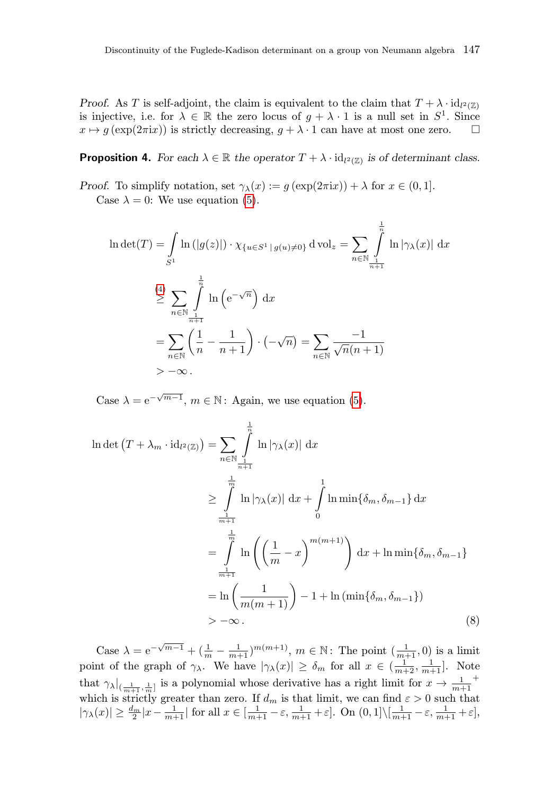Proof. As T is self-adjoint, the claim is equivalent to the claim that  $T + \lambda \cdot id_{l^2(\mathbb{Z})}$ is injective, i.e. for  $\lambda \in \mathbb{R}$  the zero locus of  $g + \lambda \cdot 1$  is a null set in  $S^1$ . Since  $x \mapsto g(\exp(2\pi ix))$  is strictly decreasing,  $g + \lambda \cdot 1$  can have at most one zero.  $\square$ 

# **Proposition 4.** For each  $\lambda \in \mathbb{R}$  the operator  $T + \lambda \cdot id_{l^2(\mathbb{Z})}$  is of determinant class.

Proof. To simplify notation, set  $\gamma_{\lambda}(x) := g(\exp(2\pi i x)) + \lambda$  for  $x \in (0,1]$ . Case  $\lambda = 0$ : We use equation [\(5\)](#page-3-1).

$$
\ln \det(T) = \int_{S^1} \ln(|g(z)|) \cdot \chi_{\{u \in S^1 \mid g(u) \neq 0\}} d \operatorname{vol}_z = \sum_{n \in \mathbb{N}} \int_{\frac{1}{n+1}}^{\frac{1}{n}} \ln |\gamma_\lambda(x)| dx
$$
  
\n
$$
\stackrel{(4)}{\geq} \sum_{n \in \mathbb{N}} \int_{\frac{1}{n+1}}^{\frac{1}{n}} \ln (e^{-\sqrt{n}}) dx
$$
  
\n
$$
= \sum_{n \in \mathbb{N}} \left( \frac{1}{n} - \frac{1}{n+1} \right) \cdot (-\sqrt{n}) = \sum_{n \in \mathbb{N}} \frac{-1}{\sqrt{n(n+1)}}
$$
  
\n
$$
> -\infty.
$$

Case  $\lambda = e^{-\sqrt{m-1}}$ ,  $m \in \mathbb{N}$ : Again, we use equation [\(5\)](#page-3-1).

$$
\ln \det \left( T + \lambda_m \cdot id_{l^2(\mathbb{Z})} \right) = \sum_{n \in \mathbb{N}} \int_{\frac{1}{n+1}}^{\frac{1}{n}} \ln |\gamma_\lambda(x)| \, dx
$$
  
\n
$$
\geq \int_{\frac{1}{m+1}}^{\frac{1}{m}} \ln |\gamma_\lambda(x)| \, dx + \int_0^1 \ln \min \{ \delta_m, \delta_{m-1} \} \, dx
$$
  
\n
$$
= \int_{\frac{1}{m+1}}^{\frac{1}{m}} \ln \left( \left( \frac{1}{m} - x \right)^{m(m+1)} \right) \, dx + \ln \min \{ \delta_m, \delta_{m-1} \}
$$
  
\n
$$
= \ln \left( \frac{1}{m(m+1)} \right) - 1 + \ln \left( \min \{ \delta_m, \delta_{m-1} \} \right)
$$
  
\n
$$
> -\infty.
$$
 (8)

<span id="page-7-0"></span>Case  $\lambda = e^{-\sqrt{m-1}} + (\frac{1}{m} - \frac{1}{m+1})^{m(m+1)}$ ,  $m \in \mathbb{N}$ : The point  $(\frac{1}{m+1}, 0)$  is a limit point of the graph of  $\gamma_{\lambda}$ . We have  $|\gamma_{\lambda}(x)| \geq \delta_m$  for all  $x \in (\frac{1}{m+2}, \frac{1}{m+1}]$ . Note that  $\gamma_{\lambda}|_{(\frac{1}{m+1},\frac{1}{m}]}$  is a polynomial whose derivative has a right limit for  $x \to \frac{1}{m+1}$ + which is strictly greater than zero. If  $d_m$  is that limit, we can find  $\varepsilon > 0$  such that  $|\gamma_\lambda(x)| \geq \frac{d_m}{2}|x - \frac{1}{m+1}|$  for all  $x \in [\frac{1}{m+1} - \varepsilon, \frac{1}{m+1} + \varepsilon]$ . On  $(0, 1] \setminus [\frac{1}{m+1} - \varepsilon, \frac{1}{m+1} + \varepsilon]$ ,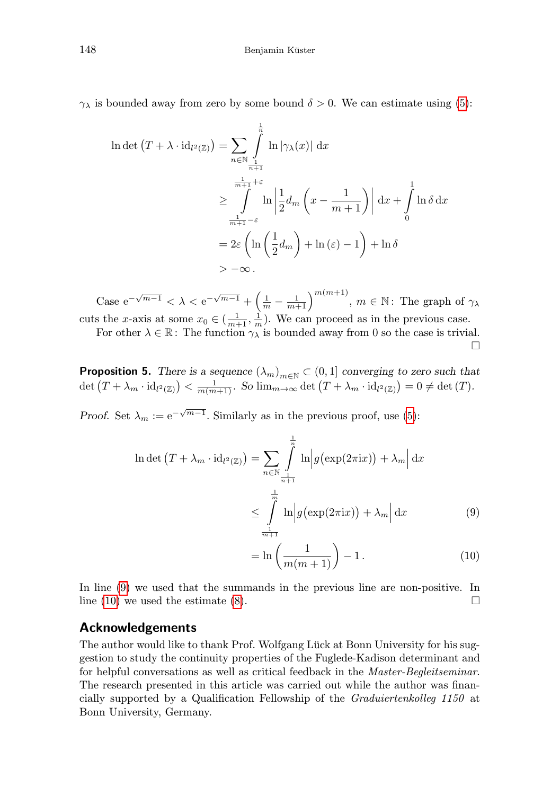$\gamma_{\lambda}$  is bounded away from zero by some bound  $\delta > 0$ . We can estimate using [\(5\)](#page-3-1):

$$
\ln \det (T + \lambda \cdot id_{l^2(\mathbb{Z})}) = \sum_{n \in \mathbb{N}} \int_{\frac{1}{n+1}}^{\frac{1}{n}} \ln |\gamma_\lambda(x)| dx
$$
  

$$
\geq \int_{\frac{1}{m+1} - \varepsilon}^{\frac{1}{m+1} + \varepsilon} \ln \left| \frac{1}{2} d_m \left( x - \frac{1}{m+1} \right) \right| dx + \int_0^1 \ln \delta dx
$$
  

$$
= 2\varepsilon \left( \ln \left( \frac{1}{2} d_m \right) + \ln (\varepsilon) - 1 \right) + \ln \delta
$$
  

$$
= -\infty.
$$

Case  $e^{-\sqrt{m-1}} < \lambda < e^{-\sqrt{m-1}} + \left(\frac{1}{m} - \frac{1}{m+1}\right)^{m(m+1)}, m \in \mathbb{N}$ : The graph of  $\gamma_{\lambda}$ cuts the x-axis at some  $x_0 \in (\frac{1}{m+1}, \frac{1}{m})$ . We can proceed as in the previous case.

For other  $\lambda \in \mathbb{R}$ : The function  $\gamma_{\lambda}$  is bounded away from 0 so the case is trivial.  $\Box$ 

**Proposition 5.** There is a sequence  $(\lambda_m)_{m \in \mathbb{N}} \subset (0,1]$  converging to zero such that  $\det (T + \lambda_m \cdot \text{id}_{l^2(\mathbb{Z})}) < \frac{1}{m(m+1)}$ . So  $\lim_{m\to\infty} \det (T + \lambda_m \cdot \text{id}_{l^2(\mathbb{Z})}) = 0 \neq \det (T)$ .

Proof. Set  $\lambda_m := e^{-\sqrt{m-1}}$ . Similarly as in the previous proof, use [\(5\)](#page-3-1):

$$
\ln \det \left( T + \lambda_m \cdot id_{l^2(\mathbb{Z})} \right) = \sum_{n \in \mathbb{N}} \int_{\frac{1}{n+1}}^{\frac{1}{n}} \ln \left| g\left(\exp(2\pi i x)\right) + \lambda_m \right| dx
$$
  

$$
\leq \int_{\frac{1}{m+1}}^{\frac{1}{m}} \ln \left| g\left(\exp(2\pi i x)\right) + \lambda_m \right| dx \tag{9}
$$

<span id="page-8-1"></span><span id="page-8-0"></span>
$$
= \ln\left(\frac{1}{m(m+1)}\right) - 1.
$$
\n(10)

In line [\(9\)](#page-8-0) we used that the summands in the previous line are non-positive. In line [\(10\)](#page-8-1) we used the estimate [\(8\)](#page-7-0).  $\Box$ 

#### Acknowledgements

The author would like to thank Prof. Wolfgang Lück at Bonn University for his suggestion to study the continuity properties of the Fuglede-Kadison determinant and for helpful conversations as well as critical feedback in the Master-Begleitseminar. The research presented in this article was carried out while the author was financially supported by a Qualification Fellowship of the Graduiertenkolleg 1150 at Bonn University, Germany.